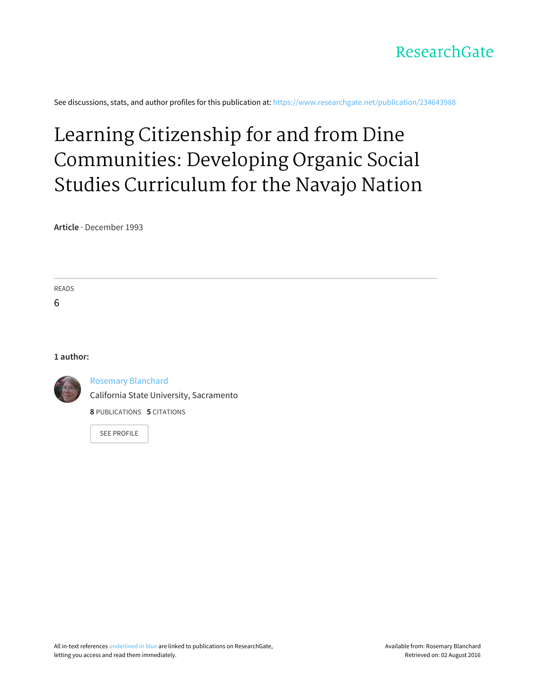

See discussions, stats, and author profiles for this publication at: [https://www.researchgate.net/publication/234643988](https://www.researchgate.net/publication/234643988_Learning_Citizenship_for_and_from_Dine_Communities_Developing_Organic_Social_Studies_Curriculum_for_the_Navajo_Nation?enrichId=rgreq-d3e116fe0fac59630db8797b1e0c1831-XXX&enrichSource=Y292ZXJQYWdlOzIzNDY0Mzk4ODtBUzozNjUwNjQ5OTAyODE3MjhAMTQ2NDA0OTY4NDE1NA%3D%3D&el=1_x_2)

# Learning Citizenship for and from Dine [Communities:](https://www.researchgate.net/publication/234643988_Learning_Citizenship_for_and_from_Dine_Communities_Developing_Organic_Social_Studies_Curriculum_for_the_Navajo_Nation?enrichId=rgreq-d3e116fe0fac59630db8797b1e0c1831-XXX&enrichSource=Y292ZXJQYWdlOzIzNDY0Mzk4ODtBUzozNjUwNjQ5OTAyODE3MjhAMTQ2NDA0OTY4NDE1NA%3D%3D&el=1_x_3) Developing Organic Social Studies Curriculum for the Navajo Nation

**Article** · December 1993

READS

6

# **1 author:**



Rosemary [Blanchard](https://www.researchgate.net/profile/Rosemary_Blanchard?enrichId=rgreq-d3e116fe0fac59630db8797b1e0c1831-XXX&enrichSource=Y292ZXJQYWdlOzIzNDY0Mzk4ODtBUzozNjUwNjQ5OTAyODE3MjhAMTQ2NDA0OTY4NDE1NA%3D%3D&el=1_x_5)

California State University, [Sacramento](https://www.researchgate.net/institution/California_State_University_Sacramento?enrichId=rgreq-d3e116fe0fac59630db8797b1e0c1831-XXX&enrichSource=Y292ZXJQYWdlOzIzNDY0Mzk4ODtBUzozNjUwNjQ5OTAyODE3MjhAMTQ2NDA0OTY4NDE1NA%3D%3D&el=1_x_6)

**8** PUBLICATIONS **5** CITATIONS

SEE [PROFILE](https://www.researchgate.net/profile/Rosemary_Blanchard?enrichId=rgreq-d3e116fe0fac59630db8797b1e0c1831-XXX&enrichSource=Y292ZXJQYWdlOzIzNDY0Mzk4ODtBUzozNjUwNjQ5OTAyODE3MjhAMTQ2NDA0OTY4NDE1NA%3D%3D&el=1_x_7)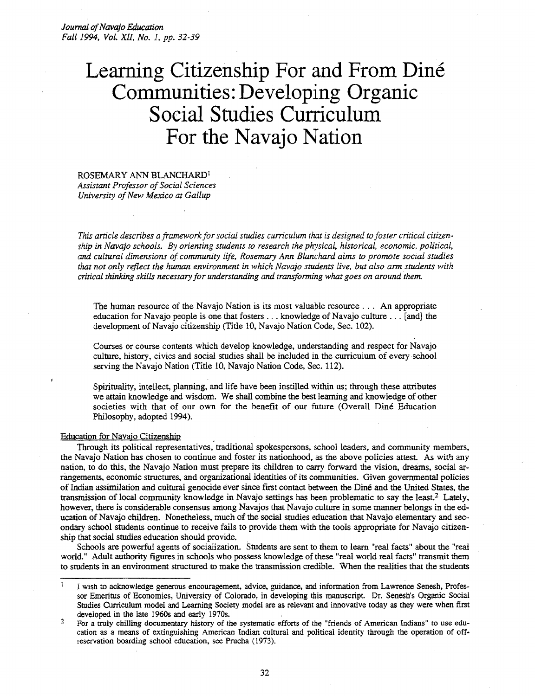# Learning Citizenship For and From Diné **Communities: Developing Organic Social Studies Curriculum For the Navajo Nation**

# ROSEMARY ANN BLANCHARD! **Assistant Professor of Social Sciences** *University of New Mexico at Gallup*

and *cultural dimensions oj community life, Rosemary Ann Blanchard aims to promote social studies ship in Navajo schools. By orienting students to research the physical, historical, economic, political, fhis article describes a framework for social studies curriculum that is designed to foster critical citizenthat not only reflect the human environment in which Navajo students live, but also arm students with critical thinking skills necessary for understanding* and *transforming what goes on around them.* 

The human resource of the Navajo Nation is its most valuable resource .. , An appropriate education for Navajo people is one that fosters ... knowledge of Navajo culture ... [and] the development of Navajo citizenship (Title 10, Navajo Nation Code, Sec. 102).

Courses or course contents which develop knowledge, understanding and respect for Navajo culture, history, civics and social studies shall be included in the curriculum of every school serving the Navajo Nation (Title 10, Navajo Nation Code, Sec. 112).

Spirituality, intellect, planning, and life have been instilled within us; through these attributes we attain knowledge and wisdom. We shall combine the best learning and knowledge of other societies with that of our own for the benefit of our future (Overall Dine Education Philosophy, adopted 1994).

#### Education for Navajo Citizenship ,

Through its political representatives, traditional spokespersons, school leaders, and community members, the Navajo Nation has chosen to continue and foster its nationhood, as the above policies attest. As with any nation, to do this, the Navajo Nation must prepare its children to carry forward the vision, dreams, social arrangements, economic structures, and organizational identities of its communities. Given governmental policies of Indian assimilation and cultural genocide ever since first contact between the Dine and the United States, the transmission of local community knowledge in Navajo settings has been problematic to say the least.<sup>2</sup> Lately, however, there is considerable consensus among Navajos that Navajo culture in some manner belongs in the education of Navajo children. Nonetheless, much of the social studies education that Navajo elementary and secondary school students continue to receive fails to provide them with the tools appropriate for Navajo citizenship that social studies education should provide. .

Schools are powerful agents of socialization. Students are sent to them to learn "real facts" about the "real world." Adult authority figures in schools who possess knowledge of these "real world real facts" transmit them to students in an environment structured to make the transmission credible. When the realities that the students

 $\mathbf{I}$ I wish to acknowledge generous encouragement, advice, guidance, and information from Lawrence Senesh, Profes sor Emeritus of Economics, University of Colorado, in developing this manuscript. Dr. Senesh's Organic Social Studies Curriculum model and Learning Society model are as relevant and innovative today as they were when first developed in the late 1960s and early 1970s.

For a truly chilling documentary history of the systematic efforts of the "friends of American Indians" to use education as a means of extinguishing American Indian cultural and political identity through the operation of off reservation boarding school education, see Prucha (1973). 2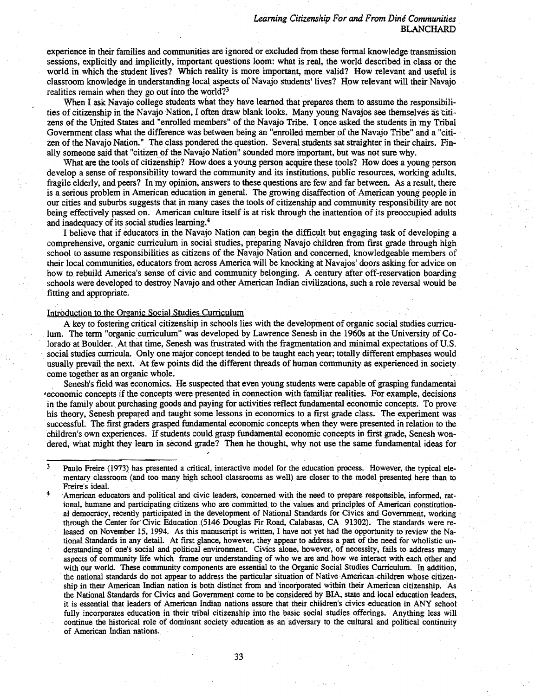experience in their families and communities are ignored or excluded from these formal knowledge transmission sessions, explicitly and implicitly, important questions loom: what is real, the world described in class or the world in which the student lives? Which reality is more important, more valid? How relevant and useful is classroom knowledge in understanding local. aspects of Navajo students' lives? How relevant will their Navajo realities remain when they go out into the world?<sup>3</sup>

When I ask Navajo college students what they have learned that prepares them to assume the responsibilities of citizenship inthe Navajo Nation, I often draw blank looks. Many young Navajos see themselves as citizens of the United States and "enrolled members" of the Navajo Tribe. I once asked the students in my Tribal Government class what the difference was between being an "enrolled member of the Navajo Tribe" and a "citizen of the Navajo Nation." The class pondered the question. Several students sat straighter in their chairs. Finally someone said that "citizen of the Navajo Nation" sounded more important, but was not sure why.

What ate the tools of citizenship? How does a young person acquire these tools? How does a young person develop a sense of responsibility toward the community and its institutions, public resources, working adults, fragile elderly, and peers? In my opinion, answers to these questions are few and far between. As a result, there is a serious problem in American education in general. The growing disaffection of American young people in our cities and suburbs suggests that in many cases the tools of citizenship and community responsibility are not being effectively passed on. American culture itself is at risk through the inattention of its preoccupied adults and inadequacy of its social studies learning.4

I believe that if educators in the Navajo Nation can begin the difficult but engaging task of developing a comprehensive, organic curriculum in social studies, preparing Navajo children from first grade through high school to assume responsibilities as citizens of the Navajo Nation and concerned, knowledgeable members of their local communities. educators from across America will be knocking at Navajos' doors asking for advice on how to rebuild America's sense of civic and community belonging. A century after off-reservation boarding schools were developed to destroy Navajo and other American Indian civilizations, such a role reversal would be fitting and appropriate.

#### Introduction to the Organic Social Studies Curriculum

A key to fostering critical citizenship in schools lies with the development of organic social studies curriculum. The term "organic curriculum" was developed by Lawrence Senesh in the 1960s at the University of Colorado at Boulder. At that time, Senesh was frustrated with the fragmentation and minimal expectations of U.S. social studies curricula. Only one major concept tended to be taught each year; totally different emphases would usually prevail the next. At few points did the different threads of human community as experienced in society come together as an organic whole:

Senesh's field was economics. He suspected that even young students were capable of grasping fundamental 'economic concepts if the concepts were presented in connection with familiar realities. For example, decisions in the family about purchasing goods and paying for activities reflect fundamental economic concepts. To prove his theory, Senesh prepared and taught some lessons in economics to a first grade class. The experiment was successful. The first graders grasped fundamental economic concepts when they were presented in relation to the children's own experiences. If students could grasp fundamental economic concepts in first grade, Senesh wondered, what might they learn in second grade? Then he thought, why not use the same fundamental ideas for

 $3$  Paulo Freire (1973) has presented a critical, interactive model for the education process. However, the typical elementary classroom (and too many high school classrooms as well) are closer to the model presented here than to Freire's ideal.

American educators and political and civic leaders, concerned with the need to prepare responsible, informed, rational, humane and participating citizens who are committed to the values and principles of American constitutional democracy, recently participated in the development of National Standards for Civics and Government, working through the Center for Civic Education (5146 Douglas Fir Road, Calabasas, CA 91302). The standards were released on November 15, 1994. As this manuscript is written, I have not yet had the opportunity to review the National Standards in any detail. At first glance, however, they appear to address a part of the need for wholistic understanding of one's social and political environment. Civics alone, however, of necessity, fails to address many aspects of community life which frame our understanding of who we are and how we interact with each other and with our world. These community components are essential to the Organic Social Studies Curriculum. In addition, the national standards do not appear to address the particular situation of Native American children whose citizenship in their American Indian nation is both distinct from and incorporated within their American citizenship. As the National Standards for Civics and Government come to be considered by BIA, state and local education leaders, it is essential that leaders of American Indian nations assure that their children's civics education in ANY school fully incorporates education in their tribal citizenship into the basic social studies offerings. Anything less will continue the historical role of dominant society education as an adversary to the cultural and political continuity of American Indian nations.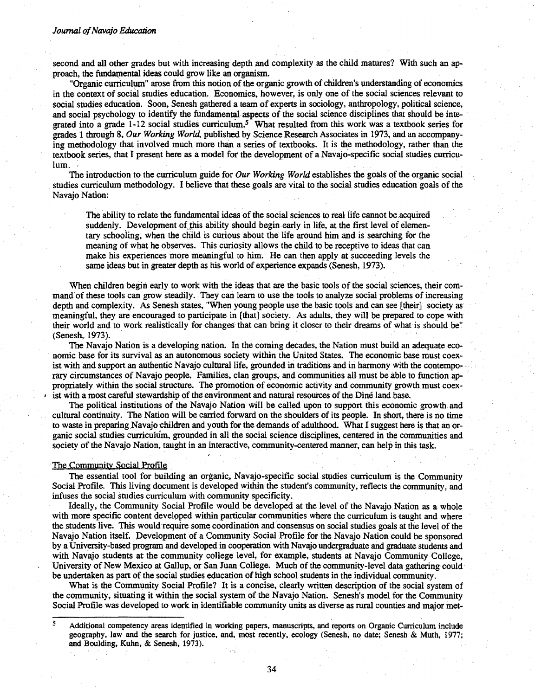#### *Journal ofNavajo Education*

second and all other grades but with increasing depth and complexity as the child matures? With such an approach, the fundamental ideas could grow like an organism.

"Organic curriculum" arose from this notion of the organic growth of children's understanding of economics in the context of social studies education. Economics, however, is only one of the social sciences relevant to social studies education. Soon. Senesh gathered a team of experts in sociology, anthropology, political science, and social psychology to identify the fundamental aspects of the social science disciplines that should be integrated into a grade  $1-12$  social studies curriculum.<sup>5</sup> What resulted from this work was a textbook series for grades 1 through 8, *Our Working World.* published by Science Research Associates in 1973, and an accompanying methodology that involved much more than a series of textbooks. It is the methodology, rather than the textbook series, that I present here as a model for the development of a Navajo-specific social studies curriculum. . .

The introduction to the curriculum guide for *Our Working World* establishes the goals ofthe organic social studies curriculum methodology. I believe that these goals are vital to the social studies education goals of the Navajo Nation:

The ability to relate the fundamental ideas of the social sciences to real life cannot be acquired suddenly. Development of this ability should begin early in life, at the first level of elementary schooiing, when the child is curious about the life around him and is searching for the meaning of what he observes. This curiosity allows the child to be receptive to ideas that can make his experiences more meaningful to him. He can then apply at succeeding levels the same ideas but in greater depth as his world of experience expands (Senesh, 1973).

When children begin early to work with the ideas that are the basic tools of the social sciences, their command of these tools can grow steadily. They can learn to use the tools to analyze social problems of increasing depth and complexity. As Senesh states, "When young people use the basic tools and can see [their] society as meaningful, they are encouraged to participate in [that] society. As adults, they will be prepared to cope with their world and to work realistically for changes that can bring it closer to their dreams of what is should be" (Senesh, 1973).

The Navajo Nation is a developing nation. In the coming decades, the Nation must build an adequate eco . nomic base for its survival as an autonomous society within the United States. The economic base must coexist with and support an authentic Navajo cultural life, grounded in traditions and in harmony with the contemporary circumstances of Navajo people. Families, clan groups, and communities all must be able to function appropriately within the social structure. The promotion of economic activity and community growth must coex ist with a most careful stewardship of the environment and natural resources of the Dine land base.

The political institutions of the Navajo Nation will be called upon to support this economic growth and cultural continuity. The Nation will becanied forward on the shoulders of its people. In short, there is no time to waste in preparing Navajo children and youth for the demands of adulthood. What I suggest here is that an organic social studies curriculum, grounded in all the social science disciplines, centered in the communities and society of the Navajo Nation, taught in an interactive, community-centered manner, can help in this task.

#### The Community Social Profile

The essential tool for building an organic, Navajo-specific social studies curriculum is the Community Social Profile. This living document is developed within the student's community, reflects the community, and . infuses the social studies curriculum with community specificity.

Ideally, the Community Social Profile would be developed at the level of the Navajo Nation as a whole with more specific content developed within particular communities where the curriculum is taught and where the students live. This would require some coordination and consensus on social studies goals at the level of the Navajo Nation itself. Development of a Community Social Profile for the Navajo Nation could be sponsored by a University-based program and developed in cooperation with Navajo undergraduate and graduate students and with Navajo students at the community college level, for example, students at Navajo Community College, University of New Mexico at Gallup, or San Juan College. Much of the community-level data gathering could be undertaken as part of the social studies education of high school students in the individual community.

What is the Community Social Profile? It is a concise, clearly written description of the social system of the community, situating it within the social system of the Navajo Nation. Senesh's model for the Community Social Profile was developed to work in identifiable community units as diverse as rural counties and major met-

<sup>&</sup>lt;sup>5</sup> Additional competency areas identified in working papers, manuscripts, and reports on Organic Curriculum include geography, law and the search for justice. and, most recently, ecology (Senesh, no date; Senesh & Muth, 1977; and Boulding. Kuhn, & Senesh, 1973).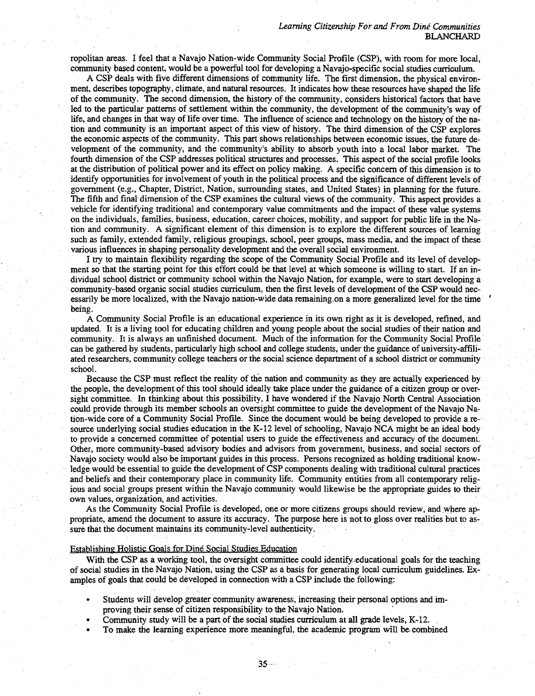ropolitan areas. I feel that a Navajo Nation-wide Community Social Profile (CSP), with room for more local, community based content, would be a powerful tool for developing a Navajo-specific social studies curriculum.

A CSP deals with five different dimensions of community life. The first dimension, the physical environment, describes topography, climate, and natural resources. It indicates how these resources have shaped the life of the community. The second dimension, the history of the community, considers historical factors that have led to the particular patterns of settlement within the community, the development of the community's way of life, and changes in that way of life over time. The influence of science and technology on the history of the nation and community is an important aspect of this view of history. The third dimension of the CSP explores the economic aspects of the community. This part shows relationships between economic issues, the future development of the community, and the community's ability to absorb youth into a local labor market. The fourth dimension of the CSP addresses political structures and processes. This aspect of the social profile looks at the distribution of political power and its effect on policy making. A specific concern of this dimension is to identify opportunities for involvement of youth in the political process and the significance of different levels of government (e.g., Chapter, District, Nation, surrounding states, and United States) in planning for the future. The fifth and final'dimension of the CSP examines the cultural views of the community. This aspect provides a vehicle for identifying traditional and contemporary value commitments and the impact of these value systems on the individuals, families, business, education, career choices, mobility, and support for public life in the Nation and community. A significant element of this dimension is' to explore the different sources of learning such as family, extended family, religious groupings, school, peer groups, mass media, and the impact of these various influences in shaping personality development and the overall social environment.

I try to maintain flexibility regarding the scope of the Community Social Profile and its level of development so that the starting point for this effort could be that level at which someone is willing to start. If an individual school district or community school within the Navajo Nation, for example, were to start developing a community-based organic social studies curriculum, then the first levels of development of the CSP would necessarily be more localized, with the Navajo nation-wide data remaining. on a more generalized level for the time ' being.

A Community Social Profile is an educational experience in its own right as it is developed, refined, and updated. It is a living tool for educating children and young people about the social studies of their nation and community. It is always an unfinished document. Much of the information for the Community Social Profile can be gathered by students, particularly high school and college students, under the guidance of university-affiliated researchers, community college teachers or the social science department of a school district or community school.

Because the CSP must reflect the reality of the nation and community as they are actually experienced by the people, the development of this tool should ideally take place under the guidance of a citizen group or oversight committee. In thinking about this possibility, I have wondered if the Navajo North Central Association could provide through its member schools an oversight committee to guide the development of the Navajo Nation-wide core of a Community Social Profile. Since the document would be being developed to provide a re-' source underlying social studies education in the K-12 level of schooling, Navajo NCA might be an ideal body to provide a concerned committee of potential users to guide the effectiveness and accuracy of the document. Other, more community-based advisory bodies and advisors from government, business, and social sectors of Navajo society would also be important guides in this process. Persons recognized as holding traditional knowledge would be essential to guide the development of CSP components dealing with traditional cultural practices and beliefs and their contemporary place in community life. Community entities from all contemporary religious and social groups present within the Navajo community would likewise be the appropriate guides to their own values, organization, and activities.

As the Community Social Profile is developed, one or more citizens groups should review, and ,where appropriate, amend the document to assure its accuracy. The purpose here is not to gloss over realities but to assure that the document maintains its community-level authenticity.

#### Establishing Holistic Goals for Dine Social Studies Education

With the CSP as a working tool, the oversight committee could identify-educational goals for the teaching of social studies in the Navajo Nation, using the CSP as a basis for generating local curriculum guidelines. Examples of goals that could be developed in connection with a CSP include the following:

- Students will develop greater community awareness, increasing their personal options and im proving their sense of citizen responsibility to the Navajo Nation.
- Community study will be a part of the social studies curriculum at all grade levels, K-12.
- To make the learning experience more meaningful, the academic program will be combined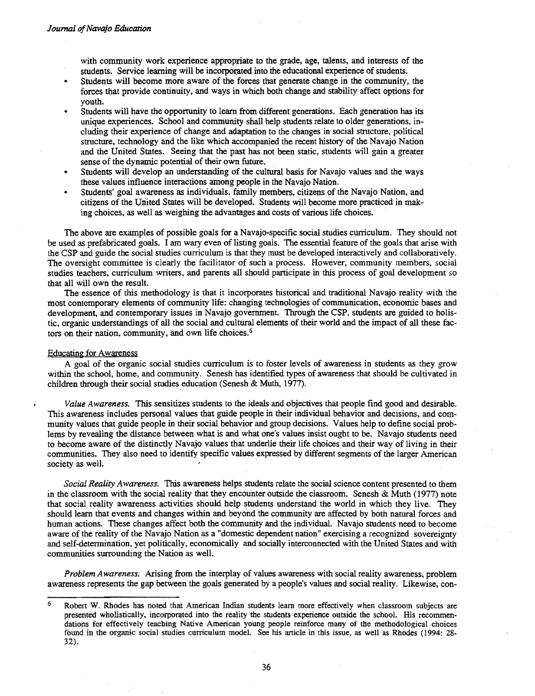with community work experience appropriate to the grade, age, talents, and interests of the students. Service learning will be incorporated into the educational experience of students.

- Students will become more aware of the forces that generate change in the community, the forces that provide continuity. and ways in which both change and stability affect options for youth.
- Students will have the opportunity to learn from different generations. Each generation has its unique experiences. School and community shall help students relate to older generations. including their experience of change and adaptation to the changes in social structure, political structure, technology and the like which accompanied the recent history of the Navajo Nation and the United States. Seeing that the past has not been static, students will gain a greater sense of the dynamic potential of their own future. .
- Students will develop an understanding of the cultural basis for Navajo values and the ways these values influence interactions among people in the Navajo Nation.
- Students' goal awareness as individuals, family members, citizens of the Navajo Nation, and citizens of the United States will be developed. Students will become more practiced in making choices, as well as weighing the advantages and costs of various life choices.

The above are examples of possible goals for a Navajo-specific social studies curriculum. They should not be used as prefabricated goals. I am wary even of listing goals. The essential feature of the goals that arise with the CSP and guide the social studies curriculum is that they must be developed interactively and collaboratively. The oversight committee is clearly the facilitator of such a process. However. community members, social studies teachers, curriculum writers, and parents all should participate in this process of goal development so that all will own the result.

The essence of this methodology is that it incorporates historical and traditional Navajo reality with the most contemporary elements of community life: changing technologies of communication. economic bases and development, and contemporary issues in Navajo government. Through the CSP, students are guided to holistic. organic understandings of all the social and cultural elements of their world and the impact of all these factors on their nation, community, and own life choices.<sup>6</sup>

#### Educating for Awareness

A goal of the organic social studies curriculum is to foster levels of awareness in students as they grow within the school, horne, and community. Senesh has identified types of awareness that should be cultivated in children through their social studies education (Senesh & Muth, 1977).

*Value Awareness.* This sensitizes students to the ideals and objectives that people find good and desirable. This awareness includes personal values that guide people in their individual behavior and decisions, and cornmunity values that guide people in their social behavior and group decisions. Values help to define social problems by revealing the distance between what is and what one's values insist ought to be. Navajo students need to become aware of the distinctly Navajo values that underlie their life choices and their way of living in their communities. They also need to identify specific values expressed by different segments of the larger American society as well.

*Social Reality Awareness.* This awareness helps students relate the social science content presented to them in the classroom with the social reality that they encounter outside the classroom. Senesh & Muth (1977) note that social reality awareness activities should help students understand the world in which they live. They should learn that events and changes within and beyond the community are affected by both natural forces and human actions. These changes affect both the community and the individual. Navajo students need to become aware of the reality of the Navajo Nation as a "domestic dependent nation" exercising a recognized sovereignty and self-determination, yet politically, economically and socially interconnected with the United States and with communities surrounding the Nation as well.

*Problem Awareness.* Arising from the interplay of values awareness with social reality awareness, problem awareness represents the gap between the goals generated by a people's values and social reality. Likewise, con-

Robert W. Rhodes has noted that American Indian students learn more effectively when classroom subjects are presented wholistically, incorporated into the reality the students experience outside the school. His recommendations for effectively teaching Native American young people reinforce many of the methodological choices found in the organic social studies curriculum model. See his anicle in this issue, as well as Rhodes (1994: 28 32). 6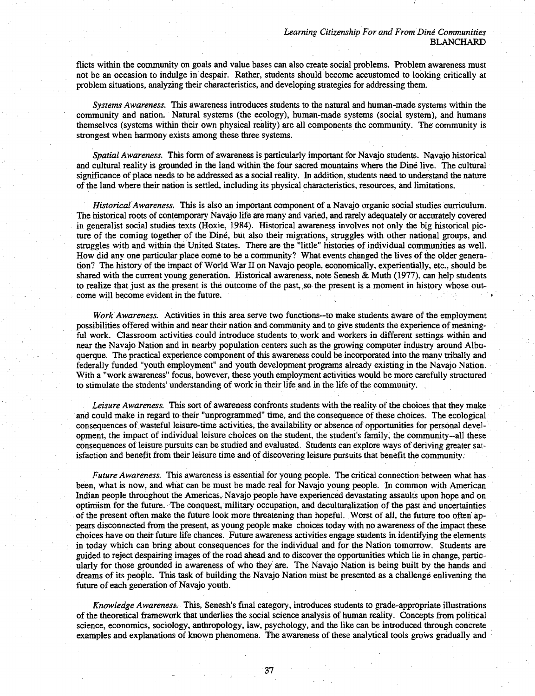flicts within the community on goals and value bases can also create social problems. Problem awareness must not be an occasion to indulge in despair. Rather, students should become accustomed to looking critically at problem situations, analyzing their characteristics, and developing strategies for addressing them.

*Systems Awareness.* This awareness introduces students to the natural and human-made systems within the community and nation. Natural systems (the ecology), human-made systems (social system), and humans themselves (systems within their own physical reality) are all components the community. The community is strongest when harmony exists among these three systems.

*Spatial Awareness.* This form of awareness is particularly important for Navajo students. Navajo historical and cultural reality is grounded in the land within the four sacred mountains where the Dine live. The cultural significance of place needs to be addressed as a social reality. In addition, students need to understand the nature of the land where their nation is settled, including its physical characteristics, resources, and limitations. . .

*Historical Awareness.* This is also an important component of a Navajo organic social'studies curriculum. The historical roots of contemporary Navajo life are many and varied, and rarely adequately or accurately covered in generalist social studies texts (Hoxie, 1984). Historical awareness involves not only the big historical picture of the coming together of the Diné, but also their migrations, struggles with other national groups, and struggles with and within the United States. There are the "little" histories of individual communities as well. How did anyone particular place come to be a community? What events changed the lives of the older generation? The history of the impact of World War IT on Navajo people, economically, experientially, etc., should be shared with the current young generation. Historical awareness, note Senesh & Muth (1977), can help students to realize that just as the present is the outcome of the past,.so the present is a moment in history whose outcome will become evident in the future.

*Work Awareness.* Activities in this area serve two functions-to make students aware of the employment possibilities offered within and near their nation and community and to give students the experience of meaningful work. Classroom activities could introduce students to work and workers in different settings within and near the Navajo Nation and in nearby population centers such as the growing computer industry around Albuquerque. The practical experience component of this awareness could beincorporated into the many tribally and federally funded "youth employment" and youth development programs already existing in the Navajo Nation. With a "work awareness" focus, however, these youth employment activities would be more carefully structured to stimulate the students' understanding of work in their life and in the life of the community.

Leisure Awareness. This sort of awareness confronts students with the reality of the choices that they make and could make in regard to their "unprogrammed" time, and the consequence of these choices. The ecological consequences of wasteful leisure-time activities; the availability or absence of opportunities for personal development, the impact of individual leisure choices on the student, the student's family, the community-all these consequences of leisure pursuits can be studied and evaluated. Students can explore ways of deriving greater satisfaction and benefit from their leisure time and of discovering leisure pursuits that benefit the community.

*Future Awareness.* This awareness is essential for young people. The critical connection between what has been, what is now, and what can be must be made real for Navajo young people. In common with American Indian people throughout the Americas, Navajo people have experienced devastating assaults upon hope and on optimism for the future. The conquest, military occupation, and deculturalization of the past and uncertainties of the present often make the future look more threatening than hopeful. Worst of all, the future too often appears disconnected from the present, as young people make choices today with no awareness of the impact these choices have on their future life chances. Future awareness activities engage students in identifying the elements in today which can bring about consequences for the individual and for the Nation tomorrow. Students are guided to reject despairing images of the road ahead and to discover the opportunities which lie in change, particularly for those grounded in awareness of who they are. The Navajo Nation is being built by the hands and dreams of its people. This task of building the Navajo Nation must be presented as a challenge enlivening the future of each generation of Navajo youth.

*Knowledge Awareness..* This, Senesh's final category, introduces students to grade-appropriate illustrations of the theoretical framework that underlies the social science analysis of human reality. Concepts from political science, economics, sociology, anthropology, law, psychology, and the like can be introduced through concrete examples and explanations of known phenomena. The awareness of these analytical tools grows gradually and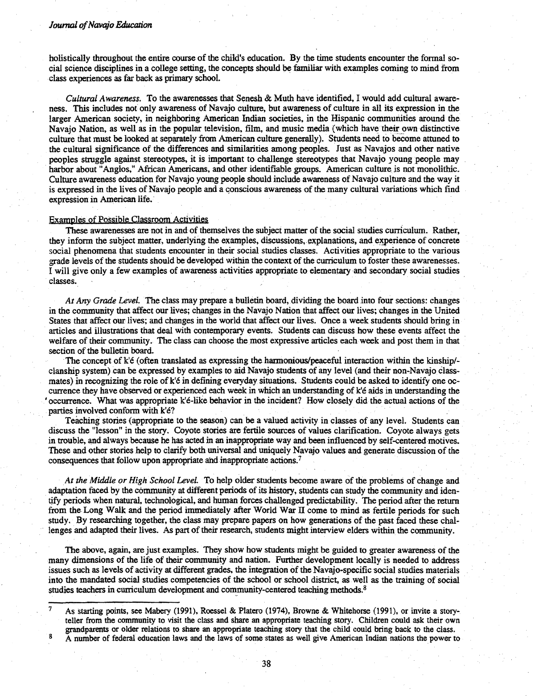# *Journal ofNavajo Education*

holistically throughout the entire course of the child's education. By the time students encounter the fonnal social science disciplines in a college setting. the concepts should be familiar with examples coming to mind from class experiences as far back as primary school.

*Cultural Awareness.* To the awarenesses that Senesh & Muth have identified. I would add cultural awareness. This includes not only awareness of Navajo culture, but awareness of culture in all its expression in the larger American society, in neighboring American Indian societies, in the Hispanic communities around the Navajo Nation, as well as in the popular television, film, and music media (which have their own distinctive culture that must be looked at separately from American culture generally). Students need to become attuned to the cultural significance of the differences and similarities among peoples. Just as Navajos and other native peoples struggle against stereotypes. it is important to challenge stereotypes that Navajo young people may harbor about "Anglos," African Americans, and other identifiable groups. American culture is not monolithic. Culture awareness education for Navajo young people should include awareness of Navajo culture and the way it is expressed in the lives of Navajo people and a conscious awareness of the many cultural variations which find expression in American life.

#### Examples of Possible Classroom Activities

These awarenesses are not in and of themselves the subject matter of the social studies curriculum. Rather, they inform the subject matter, underlying the examples, discussions, explanations, and experience of concrete social phenomena that students encounter in their social studies classes. Activities appropriate to the various grade levels of the students should be developed within the context of the curriculum to foster these awarenesses. I will give only a few examples of awareness activities appropriate to elementary and secondary social studies classes. The contract of the contract of the contract of the contract of the contract of the contract of the contract of the contract of the contract of the contract of the contract of the contract of the contract of the c

*At Any Grade Level.* The class may prepare a bulletin board, dividing the board.into four sections: changes in the community that affect our lives; changes in the Navajo Nation that affect our lives; changes in the United States that affect our lives; and changes in the world that affect our lives. Once a week students should bring in articles and illustrations that deal with contemporary events. Students can discuss how these events affect the welfare of their community. The class can choose the most expressive articles each week and post them in that section of the bulletin board.

The concept of  $k'e$  (often translated as expressing the harmonious/peaceful interaction within the kinship/clanship system) can be expressed by examples to aid Navajo students of any level (and their non-Navajo classmates) in recognizing the role of k'e in defining everyday situations. Students could be asked to identify one occurrence they have observed or experienced each week in which an understanding of k'6 aids in understanding the • occurrence. What was appropriate k'e-like behavior in the incident? How closely did the actual actions of the parties involved conform with k'é?

Teaching stories (appropriate to the season) can be a valued activity in classes of any level. Students can discuss the "lesson" in the story. Coyote stories are fertile sources of values clarification. Coyote always gets in trouble, and always because he has acted in an inappropriate way and been influenced by self-centered motives. These and other stories help to clarify both universal and uniquely Navajo values and generate discussion of the consequences that follow upon appropriate and inappropriate actions.<sup>7</sup>

*At the Middle or High School Level.* To help older students become aware of the problems of change and adaptation faced by the community at different periods of its history, students can study the community and identify periods when natural, technological, and human forces challenged predictability. The period after the return from the Long Walk and the period immediately after World War II come to mind as fertile periods for such study. By researching together, the class may prepare papers on how generations of the past faced these challenges and adapted their lives. As part of their research, students might interview elders within the community.

The above, again, are just examples. They show how students might be guided to greater awareness of the many dimensions of the life of their community and nation. Further development locally is needed to address issues such as levels of activity at different grades, the integration of the Navajo-specific social studies materials into the mandated social studies competencies of the school or school district, as. well as the training of social studies teachers in curriculum development and community-centered teaching methods.<sup>8</sup>

As starting points, see Mabery (1991), Roessel & Platero (1974), Browne & Whitehorse (1991), or invite a storyteller from the community to visit the class and share an appropriate teaching stoty. Children could ask their own grandparents or older relations to. share an appropriate teaching story that the child could bring back to the class. 8 A number of federal education laws and the laws of some states as well give American Indian nations the power to